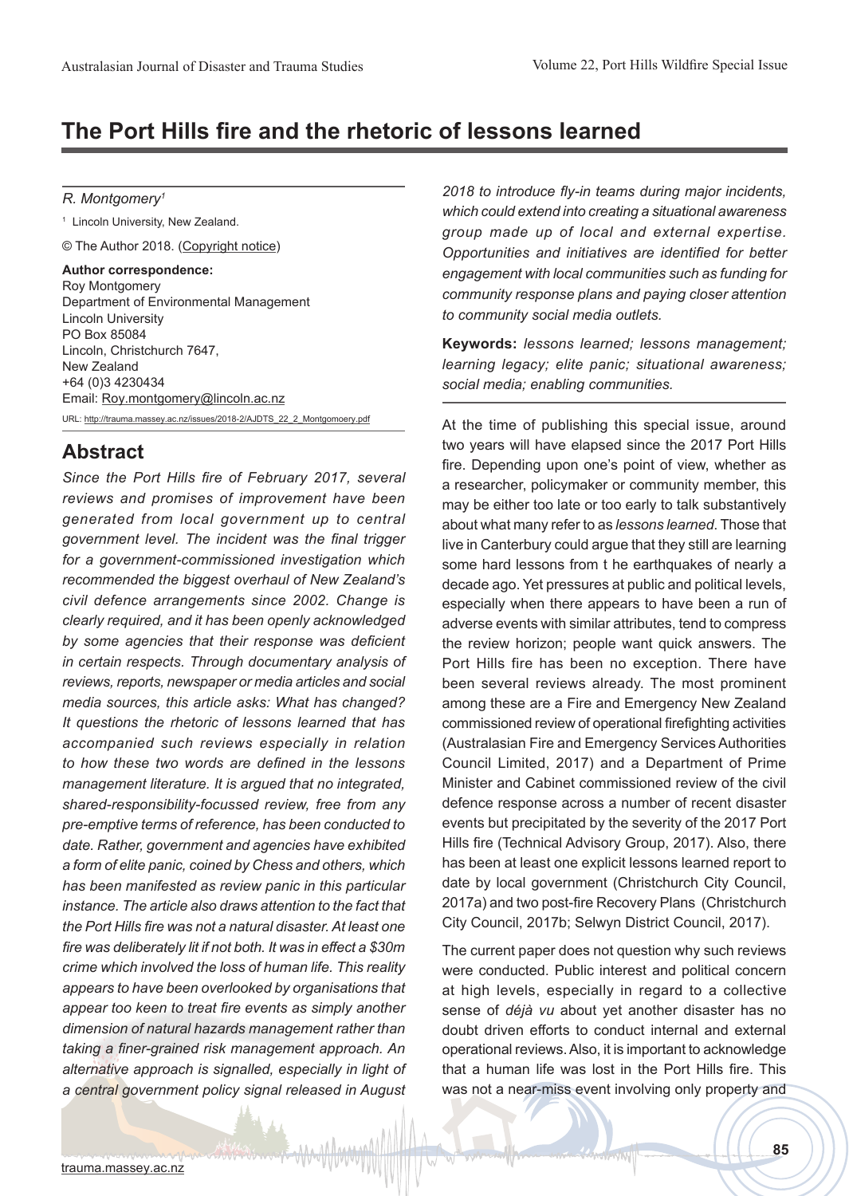# **The Port Hills fire and the rhetoric of lessons learned**

#### *R. Montgomery1*

1 Lincoln University, New Zealand.

© The Author 2018. (Copyright notice)

**Author correspondence:** Roy Montgomery Department of Environmental Management Lincoln University PO Box 85084 Lincoln, Christchurch 7647, New Zealand +64 (0)3 4230434 Email: Roy.montgomery@lincoln.ac.nz URL: http://trauma.massey.ac.nz/issues/2018-2/AJDTS\_22\_2\_Montgomoery.pdf

## **Abstract**

*Since the Port Hills fire of February 2017, several reviews and promises of improvement have been generated from local government up to central government level. The incident was the final trigger for a government-commissioned investigation which recommended the biggest overhaul of New Zealand's civil defence arrangements since 2002. Change is clearly required, and it has been openly acknowledged by some agencies that their response was deficient in certain respects. Through documentary analysis of reviews, reports, newspaper or media articles and social media sources, this article asks: What has changed? It questions the rhetoric of lessons learned that has accompanied such reviews especially in relation to how these two words are defined in the lessons management literature. It is argued that no integrated, shared-responsibility-focussed review, free from any pre-emptive terms of reference, has been conducted to date. Rather, government and agencies have exhibited a form of elite panic, coined by Chess and others, which has been manifested as review panic in this particular instance. The article also draws attention to the fact that the Port Hills fire was not a natural disaster. At least one fire was deliberately lit if not both. It was in effect a \$30m crime which involved the loss of human life. This reality appears to have been overlooked by organisations that appear too keen to treat fire events as simply another dimension of natural hazards management rather than taking a finer-grained risk management approach. An alternative approach is signalled, especially in light of a central government policy signal released in August* 

*2018 to introduce fly-in teams during major incidents, which could extend into creating a situational awareness group made up of local and external expertise. Opportunities and initiatives are identified for better engagement with local communities such as funding for community response plans and paying closer attention to community social media outlets.*

**Keywords:** *lessons learned; lessons management; learning legacy; elite panic; situational awareness; social media; enabling communities.* 

At the time of publishing this special issue, around two years will have elapsed since the 2017 Port Hills fire. Depending upon one's point of view, whether as a researcher, policymaker or community member, this may be either too late or too early to talk substantively about what many refer to as *lessons learned*. Those that live in Canterbury could argue that they still are learning some hard lessons from t he earthquakes of nearly a decade ago. Yet pressures at public and political levels, especially when there appears to have been a run of adverse events with similar attributes, tend to compress the review horizon; people want quick answers. The Port Hills fire has been no exception. There have been several reviews already. The most prominent among these are a Fire and Emergency New Zealand commissioned review of operational firefighting activities (Australasian Fire and Emergency Services Authorities Council Limited, 2017) and a Department of Prime Minister and Cabinet commissioned review of the civil defence response across a number of recent disaster events but precipitated by the severity of the 2017 Port Hills fire (Technical Advisory Group, 2017). Also, there has been at least one explicit lessons learned report to date by local government (Christchurch City Council, 2017a) and two post-fire Recovery Plans (Christchurch City Council, 2017b; Selwyn District Council, 2017).

The current paper does not question why such reviews were conducted. Public interest and political concern at high levels, especially in regard to a collective sense of *déjà vu* about yet another disaster has no doubt driven efforts to conduct internal and external operational reviews. Also, it is important to acknowledge that a human life was lost in the Port Hills fire. This was not a near-miss event involving only property and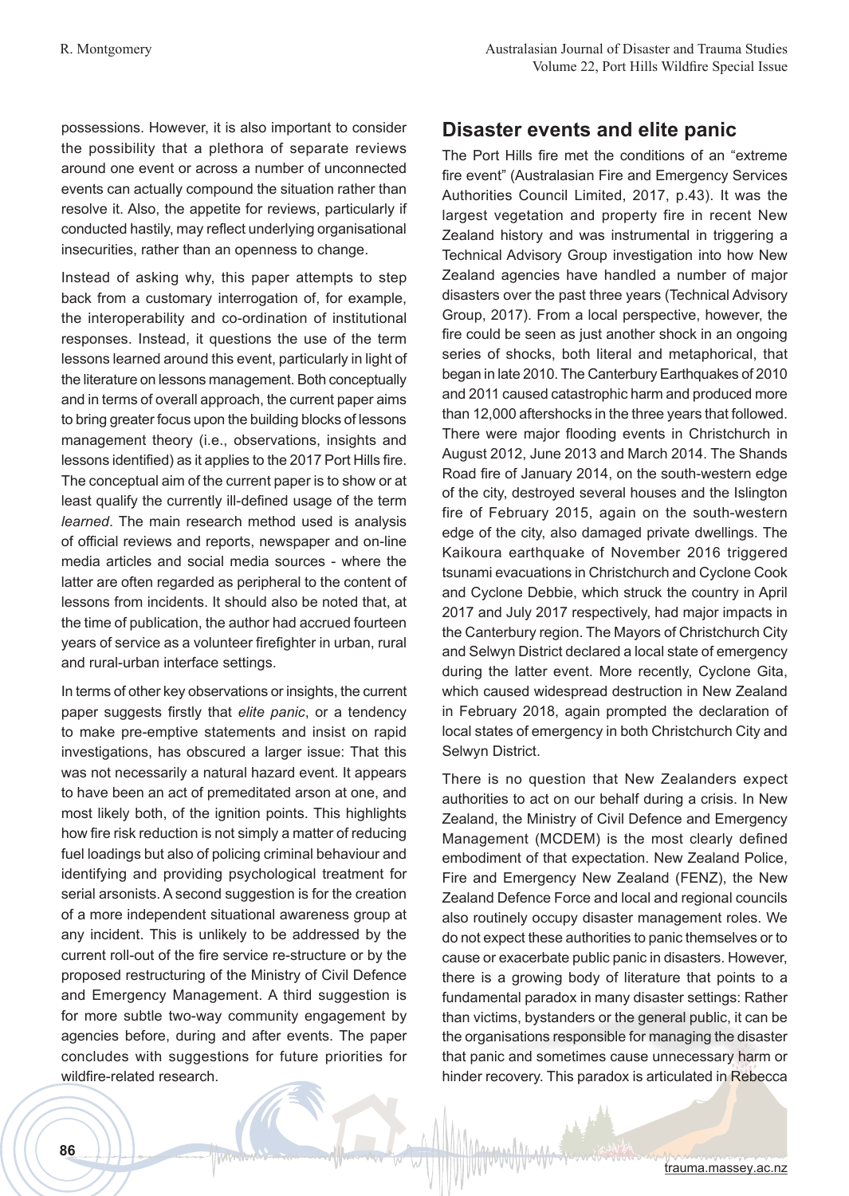possessions. However, it is also important to consider the possibility that a plethora of separate reviews around one event or across a number of unconnected events can actually compound the situation rather than resolve it. Also, the appetite for reviews, particularly if conducted hastily, may reflect underlying organisational insecurities, rather than an openness to change.

Instead of asking why, this paper attempts to step back from a customary interrogation of, for example, the interoperability and co-ordination of institutional responses. Instead, it questions the use of the term lessons learned around this event, particularly in light of the literature on lessons management. Both conceptually and in terms of overall approach, the current paper aims to bring greater focus upon the building blocks of lessons management theory (i.e., observations, insights and lessons identified) as it applies to the 2017 Port Hills fire. The conceptual aim of the current paper is to show or at least qualify the currently ill-defined usage of the term *learned*. The main research method used is analysis of official reviews and reports, newspaper and on-line media articles and social media sources - where the latter are often regarded as peripheral to the content of lessons from incidents. It should also be noted that, at the time of publication, the author had accrued fourteen years of service as a volunteer firefighter in urban, rural and rural-urban interface settings.

In terms of other key observations or insights, the current paper suggests firstly that *elite panic*, or a tendency to make pre-emptive statements and insist on rapid investigations, has obscured a larger issue: That this was not necessarily a natural hazard event. It appears to have been an act of premeditated arson at one, and most likely both, of the ignition points. This highlights how fire risk reduction is not simply a matter of reducing fuel loadings but also of policing criminal behaviour and identifying and providing psychological treatment for serial arsonists. A second suggestion is for the creation of a more independent situational awareness group at any incident. This is unlikely to be addressed by the current roll-out of the fire service re-structure or by the proposed restructuring of the Ministry of Civil Defence and Emergency Management. A third suggestion is for more subtle two-way community engagement by agencies before, during and after events. The paper concludes with suggestions for future priorities for wildfire-related research.

## **Disaster events and elite panic**

The Port Hills fire met the conditions of an "extreme fire event" (Australasian Fire and Emergency Services Authorities Council Limited, 2017, p.43). It was the largest vegetation and property fire in recent New Zealand history and was instrumental in triggering a Technical Advisory Group investigation into how New Zealand agencies have handled a number of major disasters over the past three years (Technical Advisory Group, 2017). From a local perspective, however, the fire could be seen as just another shock in an ongoing series of shocks, both literal and metaphorical, that began in late 2010. The Canterbury Earthquakes of 2010 and 2011 caused catastrophic harm and produced more than 12,000 aftershocks in the three years that followed. There were major flooding events in Christchurch in August 2012, June 2013 and March 2014. The Shands Road fire of January 2014, on the south-western edge of the city, destroyed several houses and the Islington fire of February 2015, again on the south-western edge of the city, also damaged private dwellings. The Kaikoura earthquake of November 2016 triggered tsunami evacuations in Christchurch and Cyclone Cook and Cyclone Debbie, which struck the country in April 2017 and July 2017 respectively, had major impacts in the Canterbury region. The Mayors of Christchurch City and Selwyn District declared a local state of emergency during the latter event. More recently, Cyclone Gita, which caused widespread destruction in New Zealand in February 2018, again prompted the declaration of local states of emergency in both Christchurch City and Selwyn District.

There is no question that New Zealanders expect authorities to act on our behalf during a crisis. In New Zealand, the Ministry of Civil Defence and Emergency Management (MCDEM) is the most clearly defined embodiment of that expectation. New Zealand Police, Fire and Emergency New Zealand (FENZ), the New Zealand Defence Force and local and regional councils also routinely occupy disaster management roles. We do not expect these authorities to panic themselves or to cause or exacerbate public panic in disasters. However, there is a growing body of literature that points to a fundamental paradox in many disaster settings: Rather than victims, bystanders or the general public, it can be the organisations responsible for managing the disaster that panic and sometimes cause unnecessary harm or hinder recovery. This paradox is articulated in Rebecca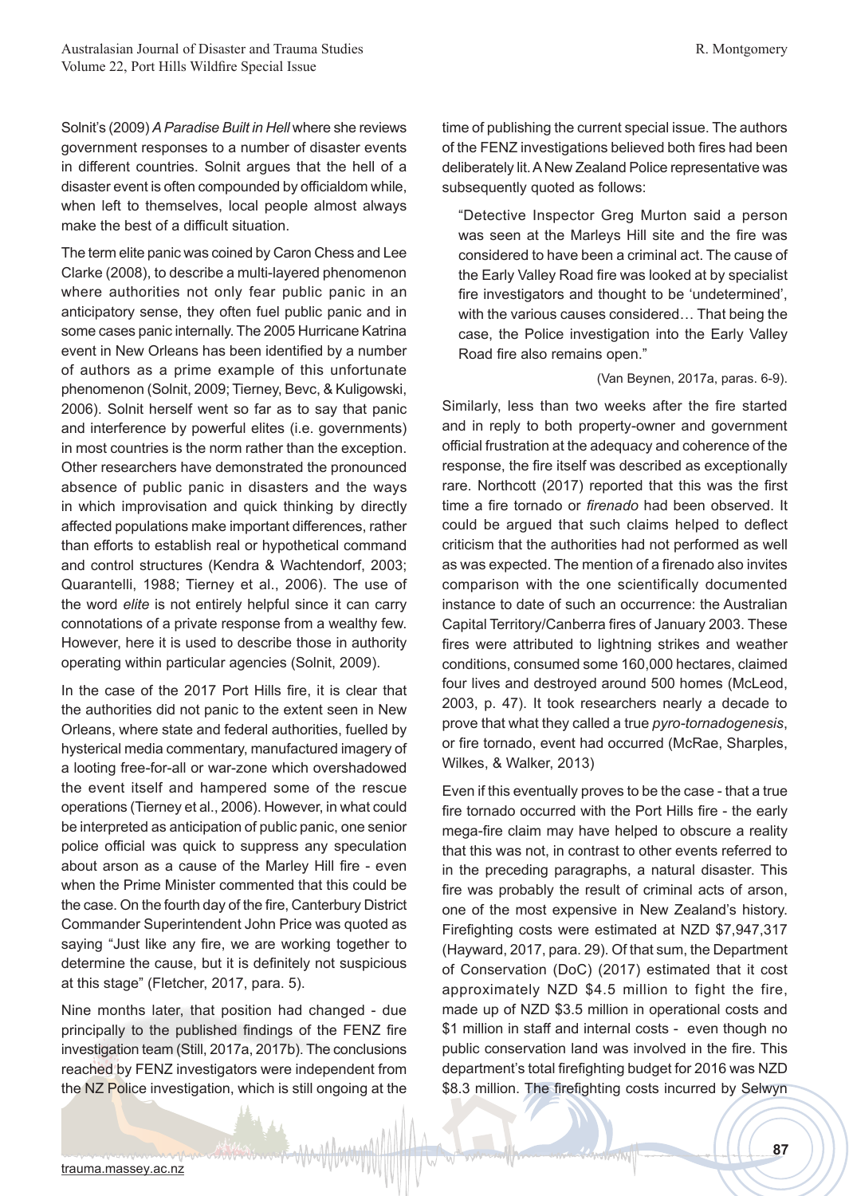Solnit's (2009) *A Paradise Built in Hell* where she reviews government responses to a number of disaster events in different countries. Solnit argues that the hell of a disaster event is often compounded by officialdom while, when left to themselves, local people almost always make the best of a difficult situation.

The term elite panic was coined by Caron Chess and Lee Clarke (2008), to describe a multi-layered phenomenon where authorities not only fear public panic in an anticipatory sense, they often fuel public panic and in some cases panic internally. The 2005 Hurricane Katrina event in New Orleans has been identified by a number of authors as a prime example of this unfortunate phenomenon (Solnit, 2009; Tierney, Bevc, & Kuligowski, 2006). Solnit herself went so far as to say that panic and interference by powerful elites (i.e. governments) in most countries is the norm rather than the exception. Other researchers have demonstrated the pronounced absence of public panic in disasters and the ways in which improvisation and quick thinking by directly affected populations make important differences, rather than efforts to establish real or hypothetical command and control structures (Kendra & Wachtendorf, 2003; Quarantelli, 1988; Tierney et al., 2006). The use of the word *elite* is not entirely helpful since it can carry connotations of a private response from a wealthy few. However, here it is used to describe those in authority operating within particular agencies (Solnit, 2009).

In the case of the 2017 Port Hills fire, it is clear that the authorities did not panic to the extent seen in New Orleans, where state and federal authorities, fuelled by hysterical media commentary, manufactured imagery of a looting free-for-all or war-zone which overshadowed the event itself and hampered some of the rescue operations (Tierney et al., 2006). However, in what could be interpreted as anticipation of public panic, one senior police official was quick to suppress any speculation about arson as a cause of the Marley Hill fire - even when the Prime Minister commented that this could be the case. On the fourth day of the fire, Canterbury District Commander Superintendent John Price was quoted as saying "Just like any fire, we are working together to determine the cause, but it is definitely not suspicious at this stage" (Fletcher, 2017, para. 5).

Nine months later, that position had changed - due principally to the published findings of the FENZ fire investigation team (Still, 2017a, 2017b). The conclusions reached by FENZ investigators were independent from the NZ Police investigation, which is still ongoing at the time of publishing the current special issue. The authors of the FENZ investigations believed both fires had been deliberately lit. A New Zealand Police representative was subsequently quoted as follows:

"Detective Inspector Greg Murton said a person was seen at the Marleys Hill site and the fire was considered to have been a criminal act. The cause of the Early Valley Road fire was looked at by specialist fire investigators and thought to be 'undetermined', with the various causes considered… That being the case, the Police investigation into the Early Valley Road fire also remains open."

#### (Van Beynen, 2017a, paras. 6-9).

Similarly, less than two weeks after the fire started and in reply to both property-owner and government official frustration at the adequacy and coherence of the response, the fire itself was described as exceptionally rare. Northcott (2017) reported that this was the first time a fire tornado or *firenado* had been observed. It could be argued that such claims helped to deflect criticism that the authorities had not performed as well as was expected. The mention of a firenado also invites comparison with the one scientifically documented instance to date of such an occurrence: the Australian Capital Territory/Canberra fires of January 2003. These fires were attributed to lightning strikes and weather conditions, consumed some 160,000 hectares, claimed four lives and destroyed around 500 homes (McLeod, 2003, p. 47). It took researchers nearly a decade to prove that what they called a true *pyro-tornadogenesis*, or fire tornado, event had occurred (McRae, Sharples, Wilkes, & Walker, 2013)

Even if this eventually proves to be the case - that a true fire tornado occurred with the Port Hills fire - the early mega-fire claim may have helped to obscure a reality that this was not, in contrast to other events referred to in the preceding paragraphs, a natural disaster. This fire was probably the result of criminal acts of arson, one of the most expensive in New Zealand's history. Firefighting costs were estimated at NZD \$7,947,317 (Hayward, 2017, para. 29). Of that sum, the Department of Conservation (DoC) (2017) estimated that it cost approximately NZD \$4.5 million to fight the fire, made up of NZD \$3.5 million in operational costs and \$1 million in staff and internal costs - even though no public conservation land was involved in the fire. This department's total firefighting budget for 2016 was NZD \$8.3 million. The firefighting costs incurred by Selwyn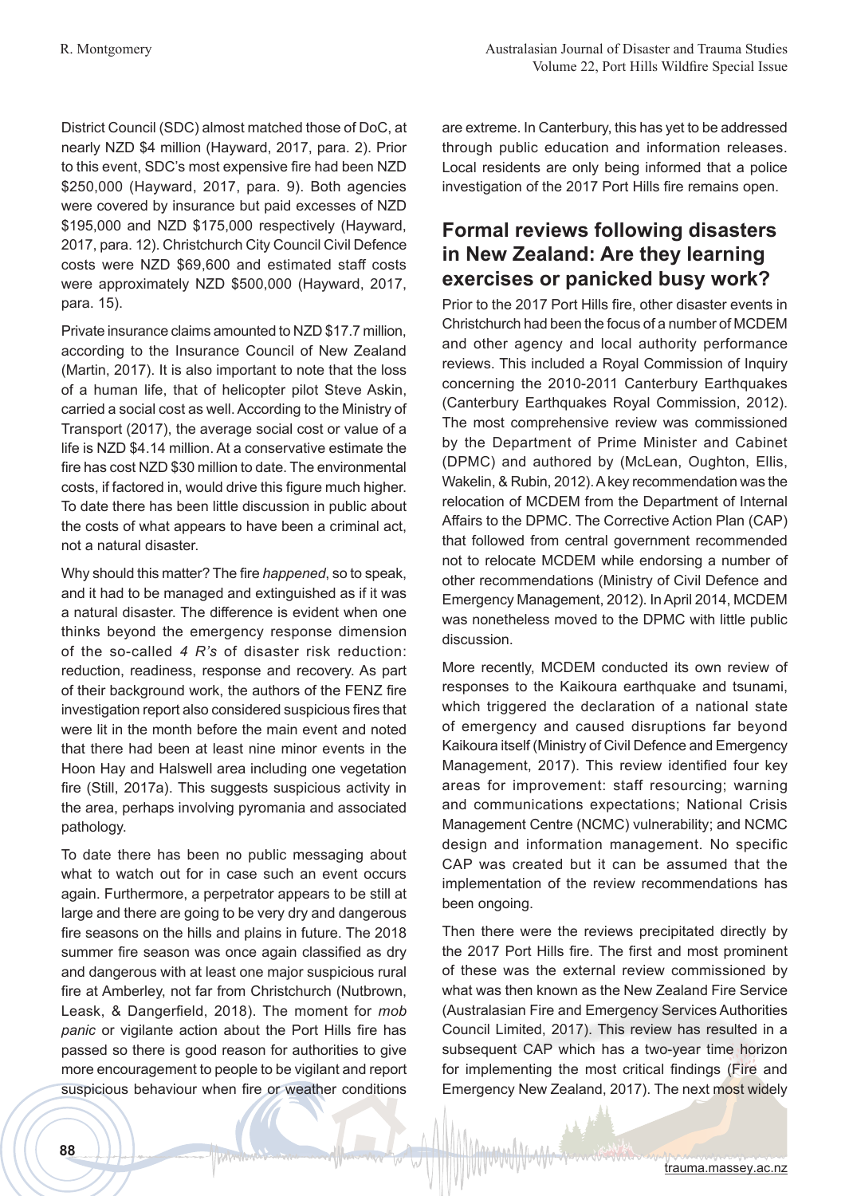District Council (SDC) almost matched those of DoC, at nearly NZD \$4 million (Hayward, 2017, para. 2). Prior to this event, SDC's most expensive fire had been NZD \$250,000 (Hayward, 2017, para. 9). Both agencies were covered by insurance but paid excesses of NZD \$195,000 and NZD \$175,000 respectively (Hayward, 2017, para. 12). Christchurch City Council Civil Defence costs were NZD \$69,600 and estimated staff costs were approximately NZD \$500,000 (Hayward, 2017, para. 15).

Private insurance claims amounted to NZD \$17.7 million, according to the Insurance Council of New Zealand (Martin, 2017). It is also important to note that the loss of a human life, that of helicopter pilot Steve Askin, carried a social cost as well. According to the Ministry of Transport (2017), the average social cost or value of a life is NZD \$4.14 million. At a conservative estimate the fire has cost NZD \$30 million to date. The environmental costs, if factored in, would drive this figure much higher. To date there has been little discussion in public about the costs of what appears to have been a criminal act, not a natural disaster.

Why should this matter? The fire *happened*, so to speak, and it had to be managed and extinguished as if it was a natural disaster. The difference is evident when one thinks beyond the emergency response dimension of the so-called *4 R's* of disaster risk reduction: reduction, readiness, response and recovery. As part of their background work, the authors of the FENZ fire investigation report also considered suspicious fires that were lit in the month before the main event and noted that there had been at least nine minor events in the Hoon Hay and Halswell area including one vegetation fire (Still, 2017a). This suggests suspicious activity in the area, perhaps involving pyromania and associated pathology.

To date there has been no public messaging about what to watch out for in case such an event occurs again. Furthermore, a perpetrator appears to be still at large and there are going to be very dry and dangerous fire seasons on the hills and plains in future. The 2018 summer fire season was once again classified as dry and dangerous with at least one major suspicious rural fire at Amberley, not far from Christchurch (Nutbrown, Leask, & Dangerfield, 2018). The moment for *mob panic* or vigilante action about the Port Hills fire has passed so there is good reason for authorities to give more encouragement to people to be vigilant and report suspicious behaviour when fire or weather conditions are extreme. In Canterbury, this has yet to be addressed through public education and information releases. Local residents are only being informed that a police investigation of the 2017 Port Hills fire remains open.

## **Formal reviews following disasters in New Zealand: Are they learning exercises or panicked busy work?**

Prior to the 2017 Port Hills fire, other disaster events in Christchurch had been the focus of a number of MCDEM and other agency and local authority performance reviews. This included a Royal Commission of Inquiry concerning the 2010-2011 Canterbury Earthquakes (Canterbury Earthquakes Royal Commission, 2012). The most comprehensive review was commissioned by the Department of Prime Minister and Cabinet (DPMC) and authored by (McLean, Oughton, Ellis, Wakelin, & Rubin, 2012). A key recommendation was the relocation of MCDEM from the Department of Internal Affairs to the DPMC. The Corrective Action Plan (CAP) that followed from central government recommended not to relocate MCDEM while endorsing a number of other recommendations (Ministry of Civil Defence and Emergency Management, 2012). In April 2014, MCDEM was nonetheless moved to the DPMC with little public discussion.

More recently, MCDEM conducted its own review of responses to the Kaikoura earthquake and tsunami, which triggered the declaration of a national state of emergency and caused disruptions far beyond Kaikoura itself (Ministry of Civil Defence and Emergency Management, 2017). This review identified four key areas for improvement: staff resourcing; warning and communications expectations; National Crisis Management Centre (NCMC) vulnerability; and NCMC design and information management. No specific CAP was created but it can be assumed that the implementation of the review recommendations has been ongoing.

Then there were the reviews precipitated directly by the 2017 Port Hills fire. The first and most prominent of these was the external review commissioned by what was then known as the New Zealand Fire Service (Australasian Fire and Emergency Services Authorities Council Limited, 2017). This review has resulted in a subsequent CAP which has a two-year time horizon for implementing the most critical findings (Fire and Emergency New Zealand, 2017). The next most widely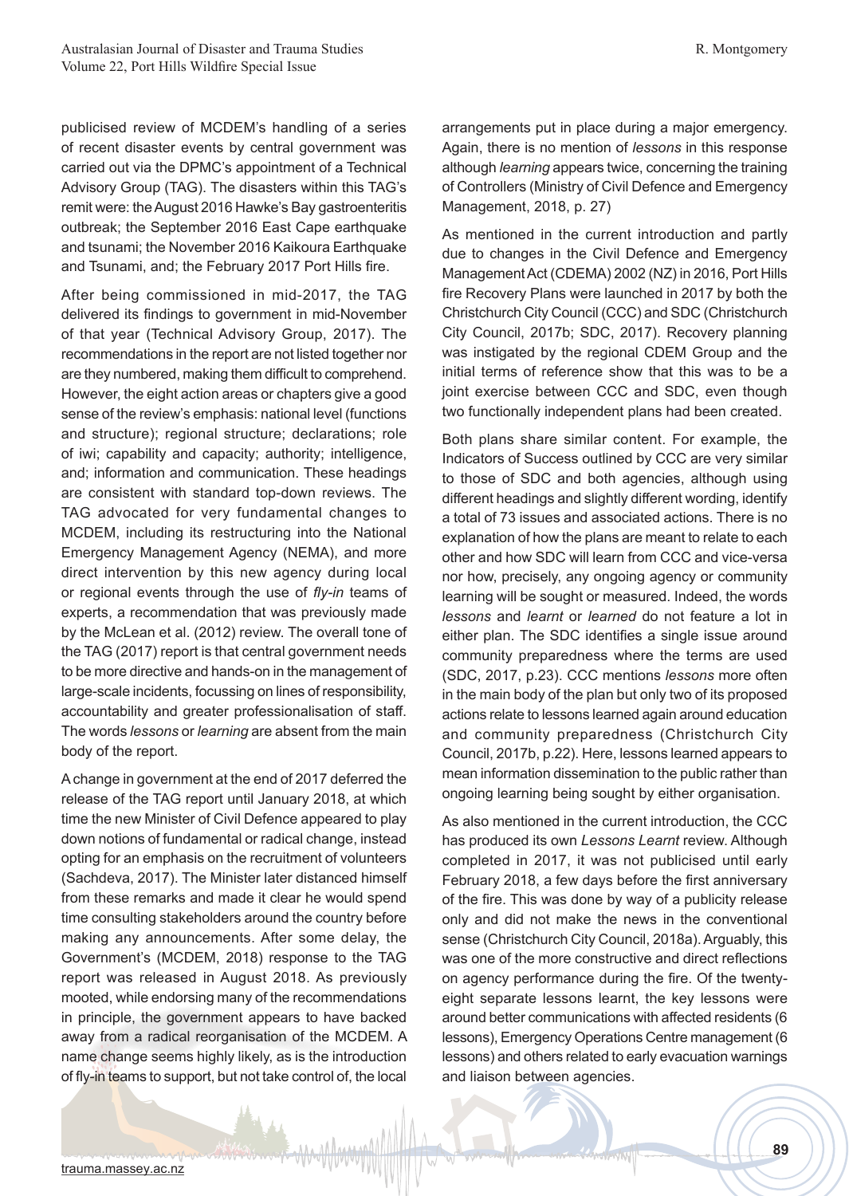publicised review of MCDEM's handling of a series of recent disaster events by central government was carried out via the DPMC's appointment of a Technical Advisory Group (TAG). The disasters within this TAG's remit were: the August 2016 Hawke's Bay gastroenteritis outbreak; the September 2016 East Cape earthquake and tsunami; the November 2016 Kaikoura Earthquake and Tsunami, and; the February 2017 Port Hills fire.

After being commissioned in mid-2017, the TAG delivered its findings to government in mid-November of that year (Technical Advisory Group, 2017). The recommendations in the report are not listed together nor are they numbered, making them difficult to comprehend. However, the eight action areas or chapters give a good sense of the review's emphasis: national level (functions and structure); regional structure; declarations; role of iwi; capability and capacity; authority; intelligence, and; information and communication. These headings are consistent with standard top-down reviews. The TAG advocated for very fundamental changes to MCDEM, including its restructuring into the National Emergency Management Agency (NEMA), and more direct intervention by this new agency during local or regional events through the use of *fly-in* teams of experts, a recommendation that was previously made by the McLean et al. (2012) review. The overall tone of the TAG (2017) report is that central government needs to be more directive and hands-on in the management of large-scale incidents, focussing on lines of responsibility, accountability and greater professionalisation of staff. The words *lessons* or *learning* are absent from the main body of the report.

A change in government at the end of 2017 deferred the release of the TAG report until January 2018, at which time the new Minister of Civil Defence appeared to play down notions of fundamental or radical change, instead opting for an emphasis on the recruitment of volunteers (Sachdeva, 2017). The Minister later distanced himself from these remarks and made it clear he would spend time consulting stakeholders around the country before making any announcements. After some delay, the Government's (MCDEM, 2018) response to the TAG report was released in August 2018. As previously mooted, while endorsing many of the recommendations in principle, the government appears to have backed away from a radical reorganisation of the MCDEM. A name change seems highly likely, as is the introduction of fly-in teams to support, but not take control of, the local

arrangements put in place during a major emergency. Again, there is no mention of *lessons* in this response although *learning* appears twice, concerning the training of Controllers (Ministry of Civil Defence and Emergency Management, 2018, p. 27)

As mentioned in the current introduction and partly due to changes in the Civil Defence and Emergency Management Act (CDEMA) 2002 (NZ) in 2016, Port Hills fire Recovery Plans were launched in 2017 by both the Christchurch City Council (CCC) and SDC (Christchurch City Council, 2017b; SDC, 2017). Recovery planning was instigated by the regional CDEM Group and the initial terms of reference show that this was to be a joint exercise between CCC and SDC, even though two functionally independent plans had been created.

Both plans share similar content. For example, the Indicators of Success outlined by CCC are very similar to those of SDC and both agencies, although using different headings and slightly different wording, identify a total of 73 issues and associated actions. There is no explanation of how the plans are meant to relate to each other and how SDC will learn from CCC and vice-versa nor how, precisely, any ongoing agency or community learning will be sought or measured. Indeed, the words *lessons* and *learnt* or *learned* do not feature a lot in either plan. The SDC identifies a single issue around community preparedness where the terms are used (SDC, 2017, p.23). CCC mentions *lessons* more often in the main body of the plan but only two of its proposed actions relate to lessons learned again around education and community preparedness (Christchurch City Council, 2017b, p.22). Here, lessons learned appears to mean information dissemination to the public rather than ongoing learning being sought by either organisation.

As also mentioned in the current introduction, the CCC has produced its own *Lessons Learnt* review. Although completed in 2017, it was not publicised until early February 2018, a few days before the first anniversary of the fire. This was done by way of a publicity release only and did not make the news in the conventional sense (Christchurch City Council, 2018a). Arguably, this was one of the more constructive and direct reflections on agency performance during the fire. Of the twentyeight separate lessons learnt, the key lessons were around better communications with affected residents (6 lessons), Emergency Operations Centre management (6 lessons) and others related to early evacuation warnings and liaison between agencies.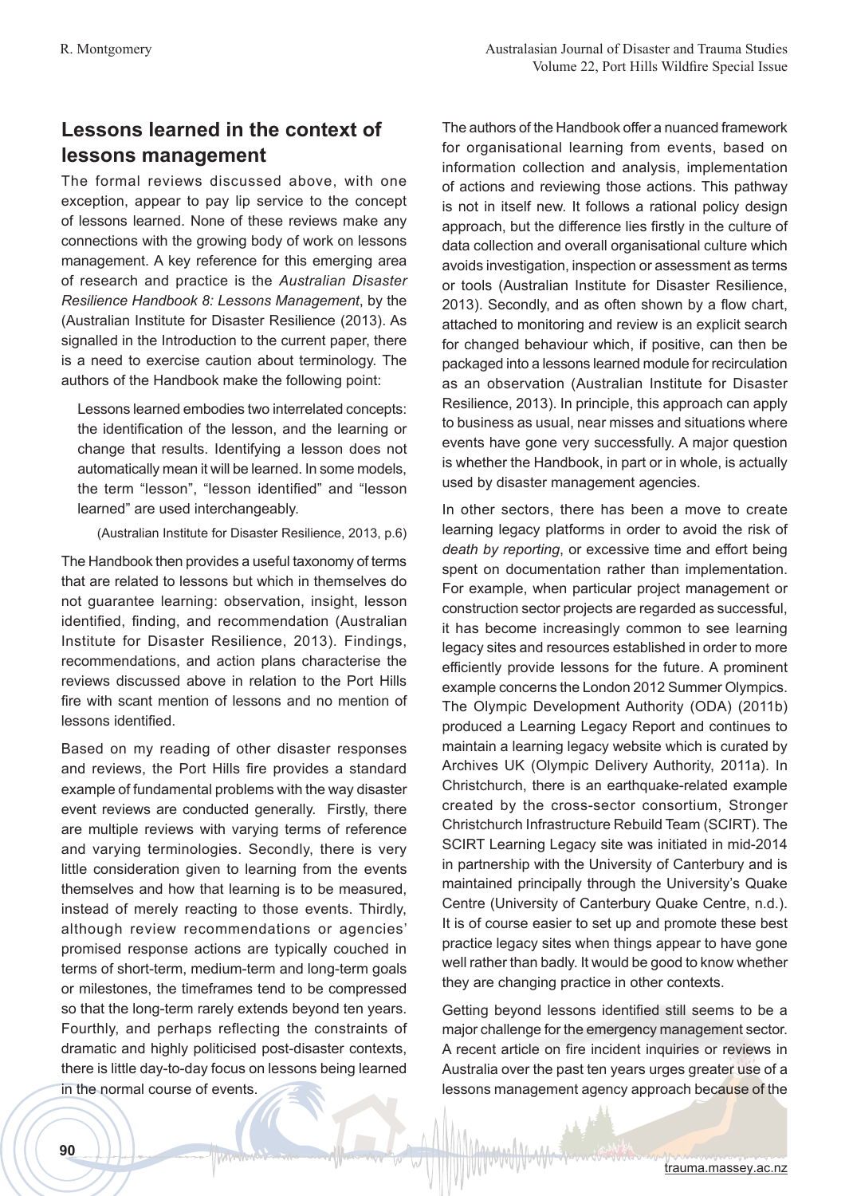## **Lessons learned in the context of lessons management**

The formal reviews discussed above, with one exception, appear to pay lip service to the concept of lessons learned. None of these reviews make any connections with the growing body of work on lessons management. A key reference for this emerging area of research and practice is the *Australian Disaster Resilience Handbook 8: Lessons Management*, by the (Australian Institute for Disaster Resilience (2013). As signalled in the Introduction to the current paper, there is a need to exercise caution about terminology. The authors of the Handbook make the following point:

Lessons learned embodies two interrelated concepts: the identification of the lesson, and the learning or change that results. Identifying a lesson does not automatically mean it will be learned. In some models, the term "lesson", "lesson identified" and "lesson learned" are used interchangeably.

(Australian Institute for Disaster Resilience, 2013, p.6)

The Handbook then provides a useful taxonomy of terms that are related to lessons but which in themselves do not guarantee learning: observation, insight, lesson identified, finding, and recommendation (Australian Institute for Disaster Resilience, 2013). Findings, recommendations, and action plans characterise the reviews discussed above in relation to the Port Hills fire with scant mention of lessons and no mention of lessons identified.

Based on my reading of other disaster responses and reviews, the Port Hills fire provides a standard example of fundamental problems with the way disaster event reviews are conducted generally. Firstly, there are multiple reviews with varying terms of reference and varying terminologies. Secondly, there is very little consideration given to learning from the events themselves and how that learning is to be measured, instead of merely reacting to those events. Thirdly, although review recommendations or agencies' promised response actions are typically couched in terms of short-term, medium-term and long-term goals or milestones, the timeframes tend to be compressed so that the long-term rarely extends beyond ten years. Fourthly, and perhaps reflecting the constraints of dramatic and highly politicised post-disaster contexts, there is little day-to-day focus on lessons being learned in the normal course of events.

The authors of the Handbook offer a nuanced framework for organisational learning from events, based on information collection and analysis, implementation of actions and reviewing those actions. This pathway is not in itself new. It follows a rational policy design approach, but the difference lies firstly in the culture of data collection and overall organisational culture which avoids investigation, inspection or assessment as terms or tools (Australian Institute for Disaster Resilience, 2013). Secondly, and as often shown by a flow chart, attached to monitoring and review is an explicit search for changed behaviour which, if positive, can then be packaged into a lessons learned module for recirculation as an observation (Australian Institute for Disaster Resilience, 2013). In principle, this approach can apply to business as usual, near misses and situations where events have gone very successfully. A major question is whether the Handbook, in part or in whole, is actually used by disaster management agencies.

In other sectors, there has been a move to create learning legacy platforms in order to avoid the risk of *death by reporting*, or excessive time and effort being spent on documentation rather than implementation. For example, when particular project management or construction sector projects are regarded as successful, it has become increasingly common to see learning legacy sites and resources established in order to more efficiently provide lessons for the future. A prominent example concerns the London 2012 Summer Olympics. The Olympic Development Authority (ODA) (2011b) produced a Learning Legacy Report and continues to maintain a learning legacy website which is curated by Archives UK (Olympic Delivery Authority, 2011a). In Christchurch, there is an earthquake-related example created by the cross-sector consortium, Stronger Christchurch Infrastructure Rebuild Team (SCIRT). The SCIRT Learning Legacy site was initiated in mid-2014 in partnership with the University of Canterbury and is maintained principally through the University's Quake Centre (University of Canterbury Quake Centre, n.d.). It is of course easier to set up and promote these best practice legacy sites when things appear to have gone well rather than badly. It would be good to know whether they are changing practice in other contexts.

Getting beyond lessons identified still seems to be a major challenge for the emergency management sector. A recent article on fire incident inquiries or reviews in Australia over the past ten years urges greater use of a lessons management agency approach because of the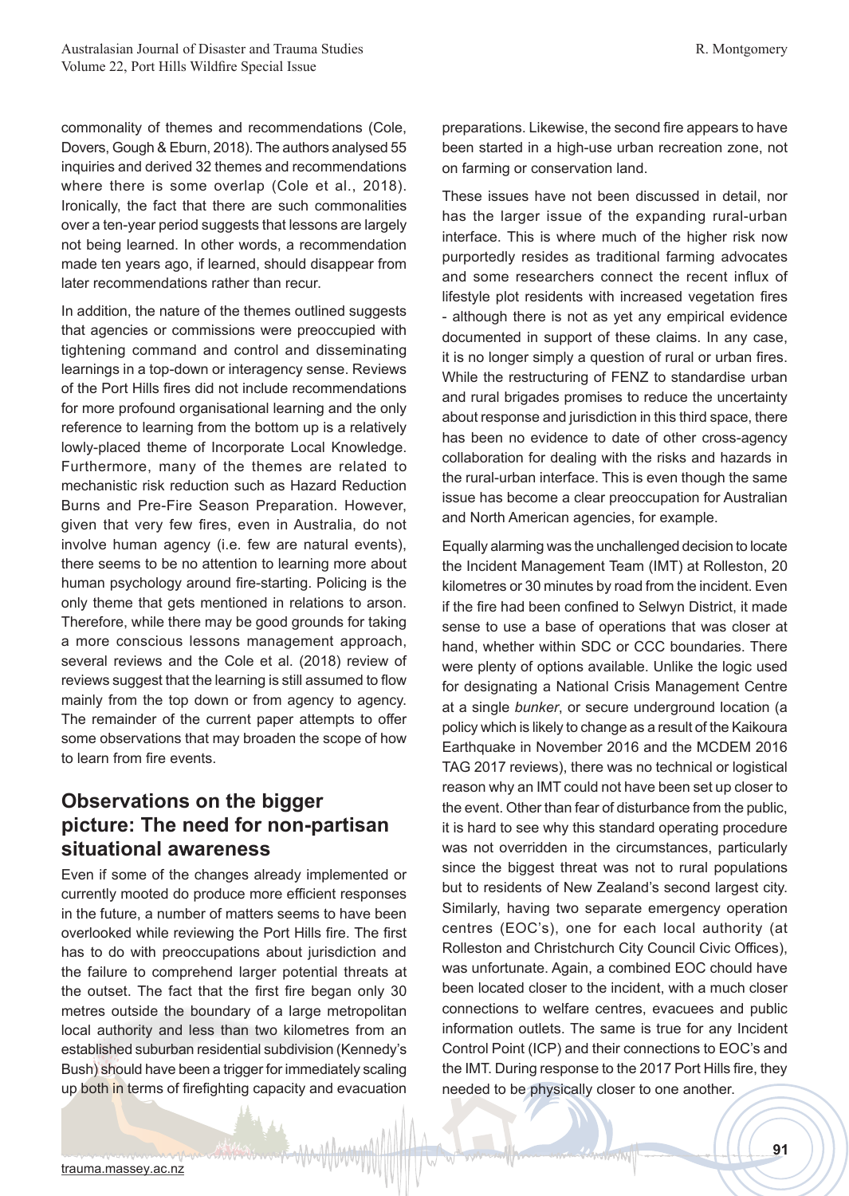commonality of themes and recommendations (Cole, Dovers, Gough & Eburn, 2018). The authors analysed 55 inquiries and derived 32 themes and recommendations where there is some overlap (Cole et al., 2018). Ironically, the fact that there are such commonalities over a ten-year period suggests that lessons are largely not being learned. In other words, a recommendation made ten years ago, if learned, should disappear from later recommendations rather than recur.

In addition, the nature of the themes outlined suggests that agencies or commissions were preoccupied with tightening command and control and disseminating learnings in a top-down or interagency sense. Reviews of the Port Hills fires did not include recommendations for more profound organisational learning and the only reference to learning from the bottom up is a relatively lowly-placed theme of Incorporate Local Knowledge. Furthermore, many of the themes are related to mechanistic risk reduction such as Hazard Reduction Burns and Pre-Fire Season Preparation. However, given that very few fires, even in Australia, do not involve human agency (i.e. few are natural events), there seems to be no attention to learning more about human psychology around fire-starting. Policing is the only theme that gets mentioned in relations to arson. Therefore, while there may be good grounds for taking a more conscious lessons management approach, several reviews and the Cole et al. (2018) review of reviews suggest that the learning is still assumed to flow mainly from the top down or from agency to agency. The remainder of the current paper attempts to offer some observations that may broaden the scope of how to learn from fire events.

## **Observations on the bigger picture: The need for non-partisan situational awareness**

Even if some of the changes already implemented or currently mooted do produce more efficient responses in the future, a number of matters seems to have been overlooked while reviewing the Port Hills fire. The first has to do with preoccupations about jurisdiction and the failure to comprehend larger potential threats at the outset. The fact that the first fire began only 30 metres outside the boundary of a large metropolitan local authority and less than two kilometres from an established suburban residential subdivision (Kennedy's Bush) should have been a trigger for immediately scaling up both in terms of firefighting capacity and evacuation preparations. Likewise, the second fire appears to have been started in a high-use urban recreation zone, not on farming or conservation land.

These issues have not been discussed in detail, nor has the larger issue of the expanding rural-urban interface. This is where much of the higher risk now purportedly resides as traditional farming advocates and some researchers connect the recent influx of lifestyle plot residents with increased vegetation fires - although there is not as yet any empirical evidence documented in support of these claims. In any case, it is no longer simply a question of rural or urban fires. While the restructuring of FENZ to standardise urban and rural brigades promises to reduce the uncertainty about response and jurisdiction in this third space, there has been no evidence to date of other cross-agency collaboration for dealing with the risks and hazards in the rural-urban interface. This is even though the same issue has become a clear preoccupation for Australian and North American agencies, for example.

Equally alarming was the unchallenged decision to locate the Incident Management Team (IMT) at Rolleston, 20 kilometres or 30 minutes by road from the incident. Even if the fire had been confined to Selwyn District, it made sense to use a base of operations that was closer at hand, whether within SDC or CCC boundaries. There were plenty of options available. Unlike the logic used for designating a National Crisis Management Centre at a single *bunker*, or secure underground location (a policy which is likely to change as a result of the Kaikoura Earthquake in November 2016 and the MCDEM 2016 TAG 2017 reviews), there was no technical or logistical reason why an IMT could not have been set up closer to the event. Other than fear of disturbance from the public, it is hard to see why this standard operating procedure was not overridden in the circumstances, particularly since the biggest threat was not to rural populations but to residents of New Zealand's second largest city. Similarly, having two separate emergency operation centres (EOC's), one for each local authority (at Rolleston and Christchurch City Council Civic Offices), was unfortunate. Again, a combined EOC chould have been located closer to the incident, with a much closer connections to welfare centres, evacuees and public information outlets. The same is true for any Incident Control Point (ICP) and their connections to EOC's and the IMT. During response to the 2017 Port Hills fire, they needed to be physically closer to one another.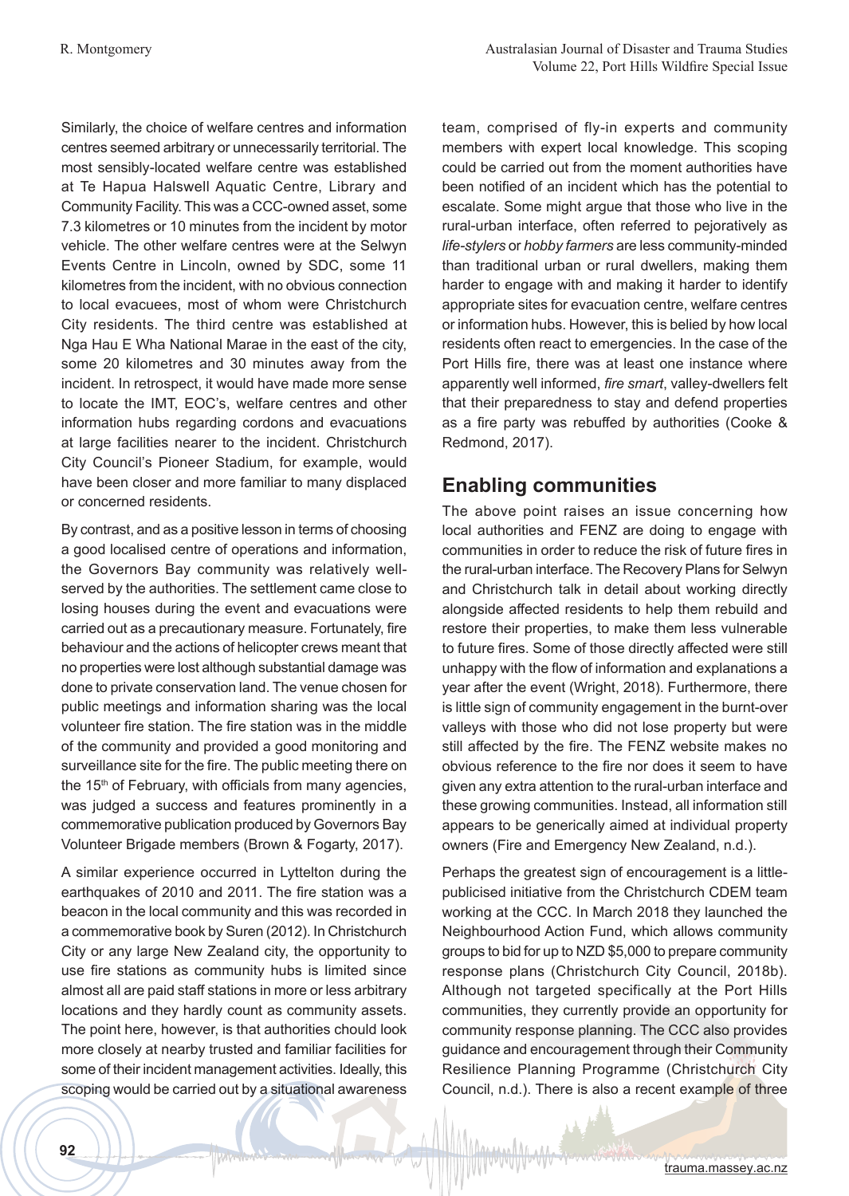Similarly, the choice of welfare centres and information centres seemed arbitrary or unnecessarily territorial. The most sensibly-located welfare centre was established at Te Hapua Halswell Aquatic Centre, Library and Community Facility. This was a CCC-owned asset, some 7.3 kilometres or 10 minutes from the incident by motor vehicle. The other welfare centres were at the Selwyn Events Centre in Lincoln, owned by SDC, some 11 kilometres from the incident, with no obvious connection to local evacuees, most of whom were Christchurch City residents. The third centre was established at Nga Hau E Wha National Marae in the east of the city, some 20 kilometres and 30 minutes away from the incident. In retrospect, it would have made more sense to locate the IMT, EOC's, welfare centres and other information hubs regarding cordons and evacuations at large facilities nearer to the incident. Christchurch City Council's Pioneer Stadium, for example, would have been closer and more familiar to many displaced or concerned residents.

By contrast, and as a positive lesson in terms of choosing a good localised centre of operations and information, the Governors Bay community was relatively wellserved by the authorities. The settlement came close to losing houses during the event and evacuations were carried out as a precautionary measure. Fortunately, fire behaviour and the actions of helicopter crews meant that no properties were lost although substantial damage was done to private conservation land. The venue chosen for public meetings and information sharing was the local volunteer fire station. The fire station was in the middle of the community and provided a good monitoring and surveillance site for the fire. The public meeting there on the  $15<sup>th</sup>$  of February, with officials from many agencies, was judged a success and features prominently in a commemorative publication produced by Governors Bay Volunteer Brigade members (Brown & Fogarty, 2017).

A similar experience occurred in Lyttelton during the earthquakes of 2010 and 2011. The fire station was a beacon in the local community and this was recorded in a commemorative book by Suren (2012). In Christchurch City or any large New Zealand city, the opportunity to use fire stations as community hubs is limited since almost all are paid staff stations in more or less arbitrary locations and they hardly count as community assets. The point here, however, is that authorities chould look more closely at nearby trusted and familiar facilities for some of their incident management activities. Ideally, this scoping would be carried out by a situational awareness team, comprised of fly-in experts and community members with expert local knowledge. This scoping could be carried out from the moment authorities have been notified of an incident which has the potential to escalate. Some might argue that those who live in the rural-urban interface, often referred to pejoratively as *life-stylers* or *hobby farmers* are less community-minded than traditional urban or rural dwellers, making them harder to engage with and making it harder to identify appropriate sites for evacuation centre, welfare centres or information hubs. However, this is belied by how local residents often react to emergencies. In the case of the Port Hills fire, there was at least one instance where apparently well informed, *fire smart*, valley-dwellers felt that their preparedness to stay and defend properties as a fire party was rebuffed by authorities (Cooke & Redmond, 2017).

## **Enabling communities**

The above point raises an issue concerning how local authorities and FENZ are doing to engage with communities in order to reduce the risk of future fires in the rural-urban interface. The Recovery Plans for Selwyn and Christchurch talk in detail about working directly alongside affected residents to help them rebuild and restore their properties, to make them less vulnerable to future fires. Some of those directly affected were still unhappy with the flow of information and explanations a year after the event (Wright, 2018). Furthermore, there is little sign of community engagement in the burnt-over valleys with those who did not lose property but were still affected by the fire. The FENZ website makes no obvious reference to the fire nor does it seem to have given any extra attention to the rural-urban interface and these growing communities. Instead, all information still appears to be generically aimed at individual property owners (Fire and Emergency New Zealand, n.d.).

Perhaps the greatest sign of encouragement is a littlepublicised initiative from the Christchurch CDEM team working at the CCC. In March 2018 they launched the Neighbourhood Action Fund, which allows community groups to bid for up to NZD \$5,000 to prepare community response plans (Christchurch City Council, 2018b). Although not targeted specifically at the Port Hills communities, they currently provide an opportunity for community response planning. The CCC also provides guidance and encouragement through their Community Resilience Planning Programme (Christchurch City Council, n.d.). There is also a recent example of three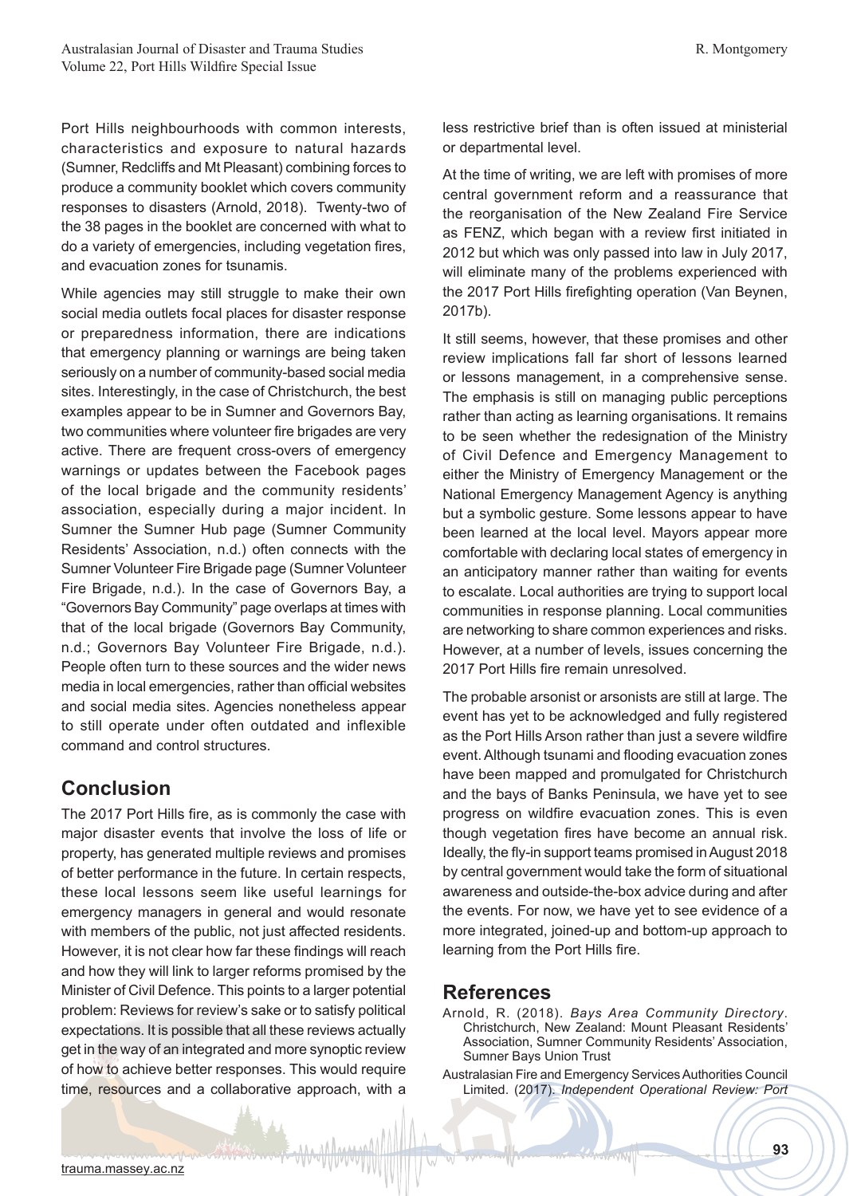Port Hills neighbourhoods with common interests, characteristics and exposure to natural hazards (Sumner, Redcliffs and Mt Pleasant) combining forces to produce a community booklet which covers community responses to disasters (Arnold, 2018). Twenty-two of the 38 pages in the booklet are concerned with what to do a variety of emergencies, including vegetation fires, and evacuation zones for tsunamis.

While agencies may still struggle to make their own social media outlets focal places for disaster response or preparedness information, there are indications that emergency planning or warnings are being taken seriously on a number of community-based social media sites. Interestingly, in the case of Christchurch, the best examples appear to be in Sumner and Governors Bay, two communities where volunteer fire brigades are very active. There are frequent cross-overs of emergency warnings or updates between the Facebook pages of the local brigade and the community residents' association, especially during a major incident. In Sumner the Sumner Hub page (Sumner Community Residents' Association, n.d.) often connects with the Sumner Volunteer Fire Brigade page (Sumner Volunteer Fire Brigade, n.d.). In the case of Governors Bay, a "Governors Bay Community" page overlaps at times with that of the local brigade (Governors Bay Community, n.d.; Governors Bay Volunteer Fire Brigade, n.d.). People often turn to these sources and the wider news media in local emergencies, rather than official websites and social media sites. Agencies nonetheless appear to still operate under often outdated and inflexible command and control structures.

## **Conclusion**

The 2017 Port Hills fire, as is commonly the case with major disaster events that involve the loss of life or property, has generated multiple reviews and promises of better performance in the future. In certain respects, these local lessons seem like useful learnings for emergency managers in general and would resonate with members of the public, not just affected residents. However, it is not clear how far these findings will reach and how they will link to larger reforms promised by the Minister of Civil Defence. This points to a larger potential problem: Reviews for review's sake or to satisfy political expectations. It is possible that all these reviews actually get in the way of an integrated and more synoptic review of how to achieve better responses. This would require time, resources and a collaborative approach, with a

less restrictive brief than is often issued at ministerial or departmental level.

At the time of writing, we are left with promises of more central government reform and a reassurance that the reorganisation of the New Zealand Fire Service as FENZ, which began with a review first initiated in 2012 but which was only passed into law in July 2017, will eliminate many of the problems experienced with the 2017 Port Hills firefighting operation (Van Beynen, 2017b).

It still seems, however, that these promises and other review implications fall far short of lessons learned or lessons management, in a comprehensive sense. The emphasis is still on managing public perceptions rather than acting as learning organisations. It remains to be seen whether the redesignation of the Ministry of Civil Defence and Emergency Management to either the Ministry of Emergency Management or the National Emergency Management Agency is anything but a symbolic gesture. Some lessons appear to have been learned at the local level. Mayors appear more comfortable with declaring local states of emergency in an anticipatory manner rather than waiting for events to escalate. Local authorities are trying to support local communities in response planning. Local communities are networking to share common experiences and risks. However, at a number of levels, issues concerning the 2017 Port Hills fire remain unresolved.

The probable arsonist or arsonists are still at large. The event has yet to be acknowledged and fully registered as the Port Hills Arson rather than just a severe wildfire event. Although tsunami and flooding evacuation zones have been mapped and promulgated for Christchurch and the bays of Banks Peninsula, we have yet to see progress on wildfire evacuation zones. This is even though vegetation fires have become an annual risk. Ideally, the fly-in support teams promised in August 2018 by central government would take the form of situational awareness and outside-the-box advice during and after the events. For now, we have yet to see evidence of a more integrated, joined-up and bottom-up approach to learning from the Port Hills fire.

### **References**

- Arnold, R. (2018). *Bays Area Community Directory*. Christchurch, New Zealand: Mount Pleasant Residents' Association, Sumner Community Residents' Association, Sumner Bays Union Trust
- Australasian Fire and Emergency Services Authorities Council Limited. (2017). *Independent Operational Review: Port*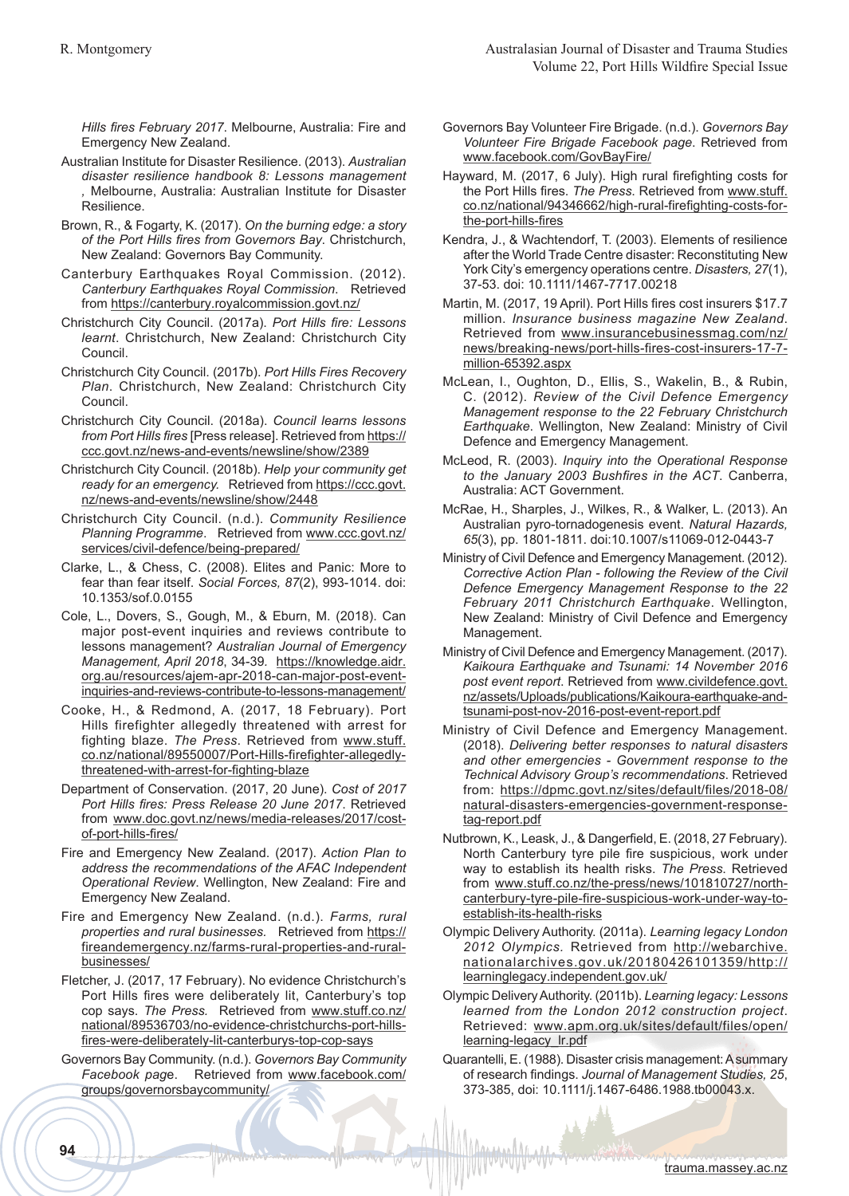*Hills fires February 2017*. Melbourne, Australia: Fire and Emergency New Zealand.

- Australian Institute for Disaster Resilience. (2013). *Australian disaster resilience handbook 8: Lessons management ,* Melbourne, Australia: Australian Institute for Disaster Resilience.
- Brown, R., & Fogarty, K. (2017). *On the burning edge: a story of the Port Hills fires from Governors Bay*. Christchurch, New Zealand: Governors Bay Community.
- Canterbury Earthquakes Royal Commission. (2012). *Canterbury Earthquakes Royal Commission*. Retrieved from https://canterbury.royalcommission.govt.nz/
- Christchurch City Council. (2017a). *Port Hills fire: Lessons learnt*. Christchurch, New Zealand: Christchurch City Council.
- Christchurch City Council. (2017b). *Port Hills Fires Recovery Plan*. Christchurch, New Zealand: Christchurch City Council.
- Christchurch City Council. (2018a). *Council learns lessons from Port Hills fires* [Press release]. Retrieved from https:// ccc.govt.nz/news-and-events/newsline/show/2389
- Christchurch City Council. (2018b). *Help your community get ready for an emergency.* Retrieved from https://ccc.govt. nz/news-and-events/newsline/show/2448
- Christchurch City Council. (n.d.). *Community Resilience Planning Programme*. Retrieved from www.ccc.govt.nz/ services/civil-defence/being-prepared/
- Clarke, L., & Chess, C. (2008). Elites and Panic: More to fear than fear itself. *Social Forces, 87*(2), 993-1014. doi: 10.1353/sof.0.0155
- Cole, L., Dovers, S., Gough, M., & Eburn, M. (2018). Can major post-event inquiries and reviews contribute to lessons management? *Australian Journal of Emergency Management, April 2018*, 34-39*.* https://knowledge.aidr. org.au/resources/ajem-apr-2018-can-major-post-eventinquiries-and-reviews-contribute-to-lessons-management/
- Cooke, H., & Redmond, A. (2017, 18 February). Port Hills firefighter allegedly threatened with arrest for fighting blaze. *The Press*. Retrieved from www.stuff. co.nz/national/89550007/Port-Hills-firefighter-allegedlythreatened-with-arrest-for-fighting-blaze
- Department of Conservation. (2017, 20 June). *Cost of 2017 Port Hills fires: Press Release 20 June 2017*. Retrieved from www.doc.govt.nz/news/media-releases/2017/costof-port-hills-fires/
- Fire and Emergency New Zealand. (2017). *Action Plan to address the recommendations of the AFAC Independent Operational Review*. Wellington, New Zealand: Fire and Emergency New Zealand.
- Fire and Emergency New Zealand. (n.d.). *Farms, rural properties and rural businesses.* Retrieved from https:// fireandemergency.nz/farms-rural-properties-and-ruralbusinesses/
- Fletcher, J. (2017, 17 February). No evidence Christchurch's Port Hills fires were deliberately lit, Canterbury's top cop says. *The Press.* Retrieved from www.stuff.co.nz/ national/89536703/no-evidence-christchurchs-port-hillsfires-were-deliberately-lit-canterburys-top-cop-says
- Governors Bay Community. (n.d.). *Governors Bay Community Facebook pag*e. Retrieved from www.facebook.com/ groups/governorsbaycommunity/
- Governors Bay Volunteer Fire Brigade. (n.d.). *Governors Bay Volunteer Fire Brigade Facebook page*. Retrieved from www.facebook.com/GovBayFire/
- Hayward, M. (2017, 6 July). High rural firefighting costs for the Port Hills fires. *The Press*. Retrieved from www.stuff. co.nz/national/94346662/high-rural-firefighting-costs-forthe-port-hills-fires
- Kendra, J., & Wachtendorf, T. (2003). Elements of resilience after the World Trade Centre disaster: Reconstituting New York City's emergency operations centre. *Disasters, 27*(1), 37-53. doi: 10.1111/1467-7717.00218
- Martin, M. (2017, 19 April). Port Hills fires cost insurers \$17.7 million. *Insurance business magazine New Zealand*. Retrieved from www.insurancebusinessmag.com/nz/ news/breaking-news/port-hills-fires-cost-insurers-17-7 million-65392.aspx
- McLean, I., Oughton, D., Ellis, S., Wakelin, B., & Rubin, C. (2012). *Review of the Civil Defence Emergency Management response to the 22 February Christchurch Earthquake*. Wellington, New Zealand: Ministry of Civil Defence and Emergency Management.
- McLeod, R. (2003). *Inquiry into the Operational Response to the January 2003 Bushfires in the ACT*. Canberra, Australia: ACT Government.
- McRae, H., Sharples, J., Wilkes, R., & Walker, L. (2013). An Australian pyro-tornadogenesis event. *Natural Hazards, 65*(3), pp. 1801-1811. doi:10.1007/s11069-012-0443-7
- Ministry of Civil Defence and Emergency Management. (2012). *Corrective Action Plan - following the Review of the Civil Defence Emergency Management Response to the 22 February 2011 Christchurch Earthquake*. Wellington, New Zealand: Ministry of Civil Defence and Emergency Management.
- Ministry of Civil Defence and Emergency Management. (2017). *Kaikoura Earthquake and Tsunami: 14 November 2016 post event report*. Retrieved from www.civildefence.govt. nz/assets/Uploads/publications/Kaikoura-earthquake-andtsunami-post-nov-2016-post-event-report.pdf
- Ministry of Civil Defence and Emergency Management. (2018). *Delivering better responses to natural disasters and other emergencies - Government response to the Technical Advisory Group's recommendations*. Retrieved from: https://dpmc.govt.nz/sites/default/files/2018-08/ natural-disasters-emergencies-government-responsetag-report.pdf
- Nutbrown, K., Leask, J., & Dangerfield, E. (2018, 27 February). North Canterbury tyre pile fire suspicious, work under way to establish its health risks. *The Press*. Retrieved from www.stuff.co.nz/the-press/news/101810727/northcanterbury-tyre-pile-fire-suspicious-work-under-way-toestablish-its-health-risks
- Olympic Delivery Authority. (2011a). *Learning legacy London 2012 Olympics.* Retrieved from http://webarchive. nationalarchives.gov.uk/20180426101359/http:// learninglegacy.independent.gov.uk/
- Olympic Delivery Authority. (2011b). *Learning legacy: Lessons learned from the London 2012 construction project*. Retrieved: www.apm.org.uk/sites/default/files/open/ learning-legacy\_lr.pdf
- Quarantelli, E. (1988). Disaster crisis management: A summary of research findings. *Journal of Management Studies, 25*, 373-385, doi: 10.1111/j.1467-6486.1988.tb00043.x.